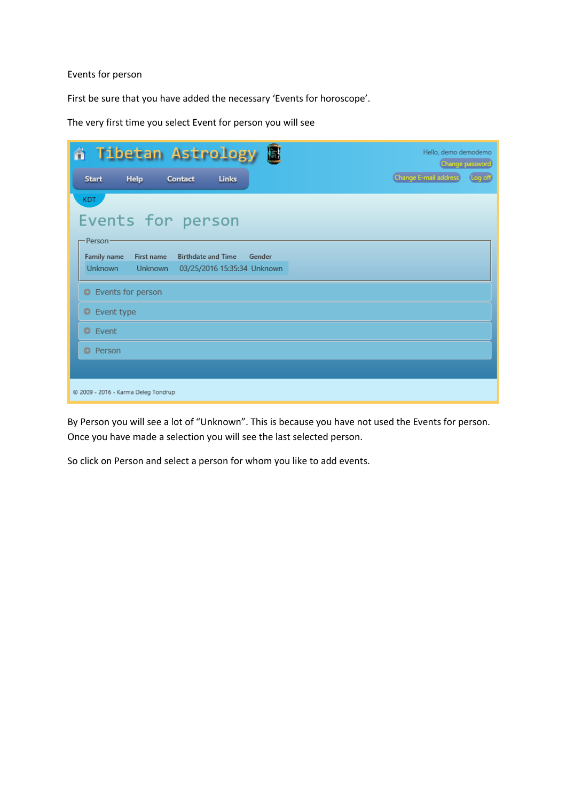## Events for person

First be sure that you have added the necessary 'Events for horoscope'.

The very first time you select Event for person you will see

| 圖<br><b>谷 Tibetan Astrology</b>                                                                                                            | Hello, demo demodemo<br>Change password |
|--------------------------------------------------------------------------------------------------------------------------------------------|-----------------------------------------|
| Help<br><b>Links</b><br>Contact<br><b>Start</b>                                                                                            | Change E-mail address<br>Log off        |
| KDT.                                                                                                                                       |                                         |
| Events for person                                                                                                                          |                                         |
| Person                                                                                                                                     |                                         |
| <b>Family name</b><br><b>Birthdate and Time</b><br>Gender<br>First name<br><b>Unknown</b><br><b>Unknown</b><br>03/25/2016 15:35:34 Unknown |                                         |
| <b>O</b> Events for person                                                                                                                 |                                         |
| C Event type                                                                                                                               |                                         |
| <b>O</b> Event                                                                                                                             |                                         |
| <b>O</b> Person                                                                                                                            |                                         |
|                                                                                                                                            |                                         |
| © 2009 - 2016 - Karma Deleg Tondrup                                                                                                        |                                         |

By Person you will see a lot of "Unknown". This is because you have not used the Events for person. Once you have made a selection you will see the last selected person.

So click on Person and select a person for whom you like to add events.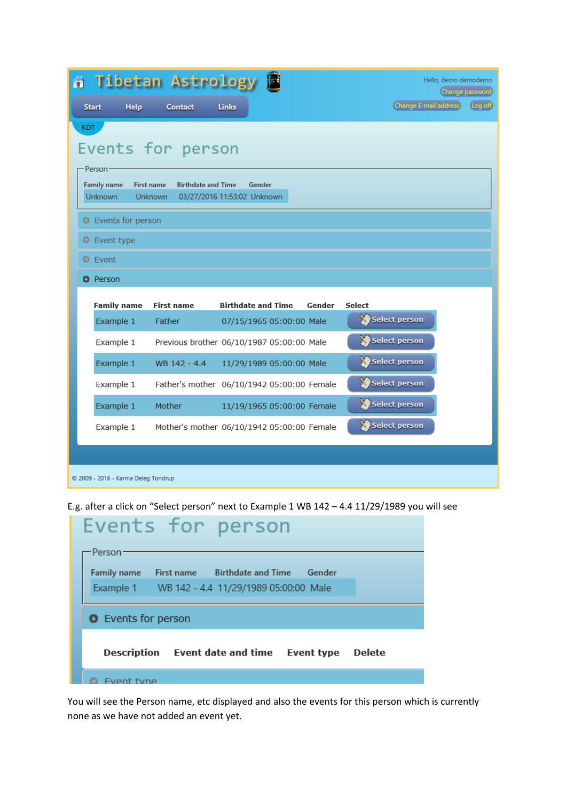| 省 Tibetan Astrology 图                                                                                                                                                                     |                   |                                            |        |                       | Hello, demo demodemo<br>Change password |  |  |
|-------------------------------------------------------------------------------------------------------------------------------------------------------------------------------------------|-------------------|--------------------------------------------|--------|-----------------------|-----------------------------------------|--|--|
| <b>Help</b><br><b>Start</b>                                                                                                                                                               | Contact           | Links                                      |        | Change E-mail address | Log off                                 |  |  |
| <b>KDT</b><br>Events for person<br>·Person·<br>Family name<br><b>First name</b><br><b>Birthdate and Time</b><br>Gender<br><b>Unknown</b><br><b>Unknown</b><br>03/27/2016 11:53:02 Unknown |                   |                                            |        |                       |                                         |  |  |
| <b>O</b> Events for person                                                                                                                                                                |                   |                                            |        |                       |                                         |  |  |
| Event type<br>ο<br><b>O</b> Event                                                                                                                                                         |                   |                                            |        |                       |                                         |  |  |
| <b>O</b> Person                                                                                                                                                                           |                   |                                            |        |                       |                                         |  |  |
| <b>Family name</b>                                                                                                                                                                        | <b>First name</b> | <b>Birthdate and Time</b>                  | Gender | <b>Select</b>         |                                         |  |  |
| Example 1                                                                                                                                                                                 | Father            | 07/15/1965 05:00:00 Male                   |        | Select person         |                                         |  |  |
| Example 1                                                                                                                                                                                 |                   | Previous brother 06/10/1987 05:00:00 Male  |        | Select person         |                                         |  |  |
| Example 1                                                                                                                                                                                 | WB 142 - 4.4      | 11/29/1989 05:00:00 Male                   |        | Select person         |                                         |  |  |
| Example 1                                                                                                                                                                                 |                   | Father's mother 06/10/1942 05:00:00 Female |        | Select person         |                                         |  |  |
| Example 1                                                                                                                                                                                 | Mother            | 11/19/1965 05:00:00 Female                 |        | Select person         |                                         |  |  |
| Example 1                                                                                                                                                                                 |                   | Mother's mother 06/10/1942 05:00:00 Female |        | Select person         |                                         |  |  |
|                                                                                                                                                                                           |                   |                                            |        |                       |                                         |  |  |
| © 2009 - 2016 - Karma Deleg Tondrup                                                                                                                                                       |                   |                                            |        |                       |                                         |  |  |

E.g. after a click on "Select person" next to Example 1 WB 142 – 4.4 11/29/1989 you will see

| Events for person                                             |  |  |  |  |  |  |
|---------------------------------------------------------------|--|--|--|--|--|--|
| - Person ·                                                    |  |  |  |  |  |  |
| Gender<br><b>Family name</b><br>First name Birthdate and Time |  |  |  |  |  |  |
| Example 1 WB 142 - 4.4 11/29/1989 05:00:00 Male               |  |  |  |  |  |  |
| <b>O</b> Events for person                                    |  |  |  |  |  |  |
| Description Event date and time Event type<br><b>Delete</b>   |  |  |  |  |  |  |
| rent tyne                                                     |  |  |  |  |  |  |

You will see the Person name, etc displayed and also the events for this person which is currently none as we have not added an event yet.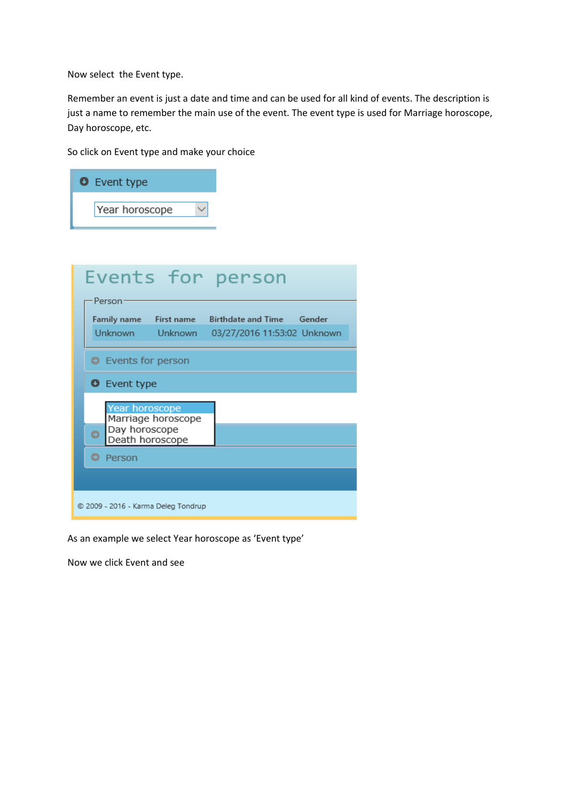Now select the Event type.

Remember an event is just a date and time and can be used for all kind of events. The description is just a name to remember the main use of the event. The event type is used for Marriage horoscope, Day horoscope, etc.

So click on Event type and make your choice

| <b>O</b> Event type                                                                             |
|-------------------------------------------------------------------------------------------------|
| Year horoscope                                                                                  |
|                                                                                                 |
| Events for person<br>Person                                                                     |
| Family name First name Birthdate and Time Gender<br>Unknown Unknown 03/27/2016 11:53:02 Unknown |
| <b>O</b> Events for person                                                                      |
| <b>O</b> Event type                                                                             |
| Year horoscope<br>Marriage horoscope<br>Day horoscope<br>$\bullet$<br>Death horoscope           |
| ۰<br>Person                                                                                     |
|                                                                                                 |
| © 2009 - 2016 - Karma Deleg Tondrup                                                             |

As an example we select Year horoscope as 'Event type'

Now we click Event and see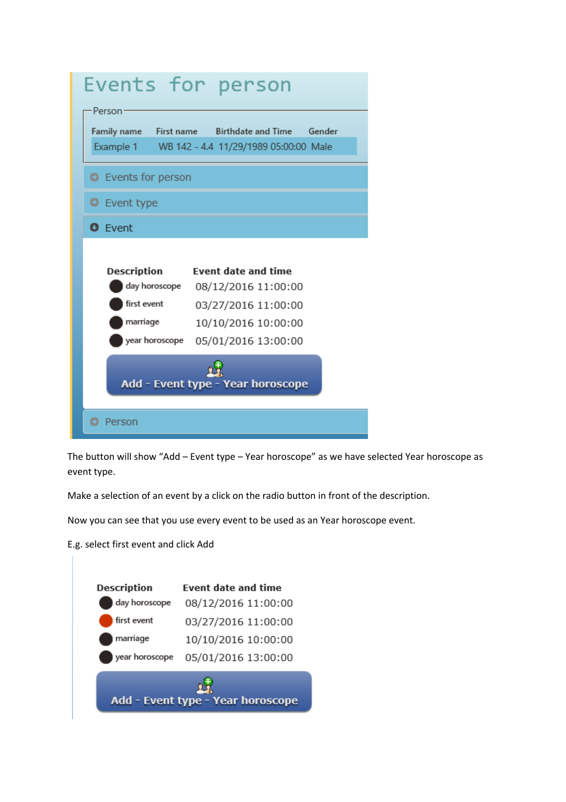

The button will show "Add – Event type – Year horoscope" as we have selected Year horoscope as event type.

Make a selection of an event by a click on the radio button in front of the description.

Now you can see that you use every event to be used as an Year horoscope event.

E.g. select first event and click Add